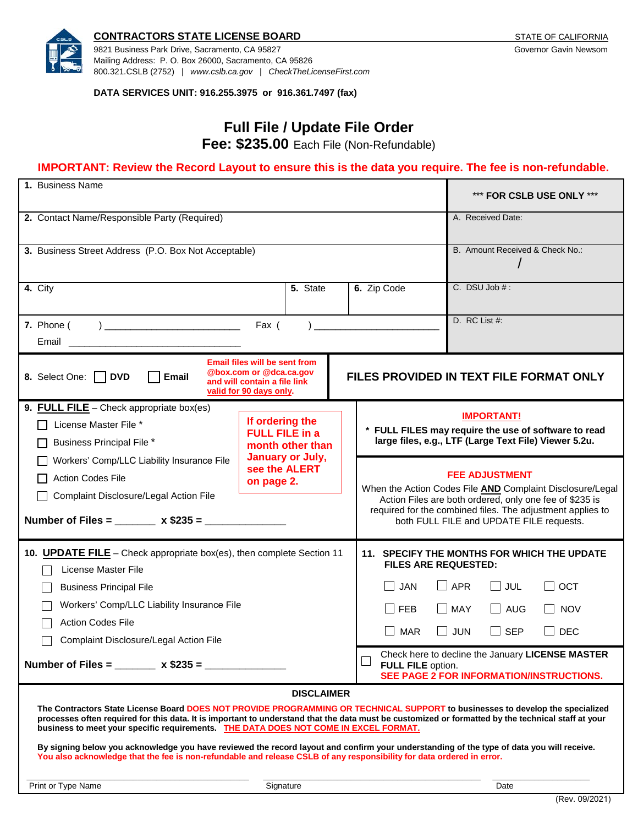

#### **CONTRACTORS STATE LICENSE BOARD STATE OF CALIFORNIA STATE OF CALIFORNIA**

9821 Business Park Drive, Sacramento, CA 95827 Governor Gavin Newsom Mailing Address: P. O. Box 26000, Sacramento, CA 95826 800.321.CSLB (2752) | *[www.cslb.ca.gov](http://www.cslb.ca.gov/)* | *CheckTheLicenseFirst.com*

**DATA SERVICES UNIT: 916.255.3975 or 916.361.7497 (fax)**

## **Full File / Update File Order**

**Fee: \$235.00** Each File (Non-Refundable)

### **IMPORTANT: Review the Record Layout to ensure this is the data you require. The fee is non-refundable.**

| 1. Business Name                                                                                                                                                                                                                                                                                                                                                             | *** FOR CSLB USE ONLY ***                                                                                       |           |                                                  |                                                                                                                                                                                                                                                         |
|------------------------------------------------------------------------------------------------------------------------------------------------------------------------------------------------------------------------------------------------------------------------------------------------------------------------------------------------------------------------------|-----------------------------------------------------------------------------------------------------------------|-----------|--------------------------------------------------|---------------------------------------------------------------------------------------------------------------------------------------------------------------------------------------------------------------------------------------------------------|
| 2. Contact Name/Responsible Party (Required)                                                                                                                                                                                                                                                                                                                                 |                                                                                                                 |           |                                                  | A. Received Date:                                                                                                                                                                                                                                       |
| 3. Business Street Address (P.O. Box Not Acceptable)                                                                                                                                                                                                                                                                                                                         |                                                                                                                 |           |                                                  | B. Amount Received & Check No.:                                                                                                                                                                                                                         |
| 4. City                                                                                                                                                                                                                                                                                                                                                                      |                                                                                                                 | 5. State  |                                                  | C. DSU Job $#$ :<br>6. Zip Code                                                                                                                                                                                                                         |
| 7. Phone (                                                                                                                                                                                                                                                                                                                                                                   |                                                                                                                 |           |                                                  | D. RC List #:                                                                                                                                                                                                                                           |
| <b>Email files will be sent from</b><br>@box.com or @dca.ca.gov<br>8. Select One: DVD<br>Email<br>FILES PROVIDED IN TEXT FILE FORMAT ONLY<br>and will contain a file link<br>valid for 90 days only.                                                                                                                                                                         |                                                                                                                 |           |                                                  |                                                                                                                                                                                                                                                         |
| 9. FULL FILE - Check appropriate box(es)<br>License Master File *<br><b>Business Principal File *</b>                                                                                                                                                                                                                                                                        | If ordering the<br><b>FULL FILE in a</b><br>month other than<br>January or July,<br>see the ALERT<br>on page 2. |           |                                                  | <b>IMPORTANT!</b><br>* FULL FILES may require the use of software to read<br>large files, e.g., LTF (Large Text File) Viewer 5.2u.                                                                                                                      |
| Workers' Comp/LLC Liability Insurance File<br><b>Action Codes File</b><br>Complaint Disclosure/Legal Action File<br>Number of Files = _______ x \$235 = ____________                                                                                                                                                                                                         |                                                                                                                 |           |                                                  | <b>FEE ADJUSTMENT</b><br>When the Action Codes File AND Complaint Disclosure/Legal<br>Action Files are both ordered, only one fee of \$235 is<br>required for the combined files. The adjustment applies to<br>both FULL FILE and UPDATE FILE requests. |
| 10. <b>UPDATE FILE</b> - Check appropriate box(es), then complete Section 11<br>License Master File                                                                                                                                                                                                                                                                          |                                                                                                                 |           |                                                  | 11. SPECIFY THE MONTHS FOR WHICH THE UPDATE<br><b>FILES ARE REQUESTED:</b>                                                                                                                                                                              |
| <b>Business Principal File</b>                                                                                                                                                                                                                                                                                                                                               |                                                                                                                 |           | $\Box$ APR<br>$\Box$ JUL<br><b>JAN</b><br>I loct |                                                                                                                                                                                                                                                         |
| Workers' Comp/LLC Liability Insurance File                                                                                                                                                                                                                                                                                                                                   |                                                                                                                 |           |                                                  | $\Box$ MAY<br>$\Box$ AUG<br><b>FEB</b><br>$\Box$ NOV                                                                                                                                                                                                    |
| <b>Action Codes File</b><br>Complaint Disclosure/Legal Action File                                                                                                                                                                                                                                                                                                           |                                                                                                                 |           |                                                  | <b>JUN</b><br><b>MAR</b><br>$\perp$<br>$\Box$ SEP<br>$\Box$ Dec                                                                                                                                                                                         |
| Number of Files = $x $235 =$                                                                                                                                                                                                                                                                                                                                                 |                                                                                                                 |           |                                                  | Check here to decline the January LICENSE MASTER<br>FULL FILE option.<br>SEE PAGE 2 FOR INFORMATION/INSTRUCTIONS.                                                                                                                                       |
| <b>DISCLAIMER</b>                                                                                                                                                                                                                                                                                                                                                            |                                                                                                                 |           |                                                  |                                                                                                                                                                                                                                                         |
| The Contractors State License Board DOES NOT PROVIDE PROGRAMMING OR TECHNICAL SUPPORT to businesses to develop the specialized<br>processes often required for this data. It is important to understand that the data must be customized or formatted by the technical staff at your<br>business to meet your specific requirements. THE DATA DOES NOT COME IN EXCEL FORMAT. |                                                                                                                 |           |                                                  |                                                                                                                                                                                                                                                         |
| By signing below you acknowledge you have reviewed the record layout and confirm your understanding of the type of data you will receive.<br>You also acknowledge that the fee is non-refundable and release CSLB of any responsibility for data ordered in error.                                                                                                           |                                                                                                                 |           |                                                  |                                                                                                                                                                                                                                                         |
| Print or Type Name                                                                                                                                                                                                                                                                                                                                                           |                                                                                                                 | Signature | Date                                             |                                                                                                                                                                                                                                                         |